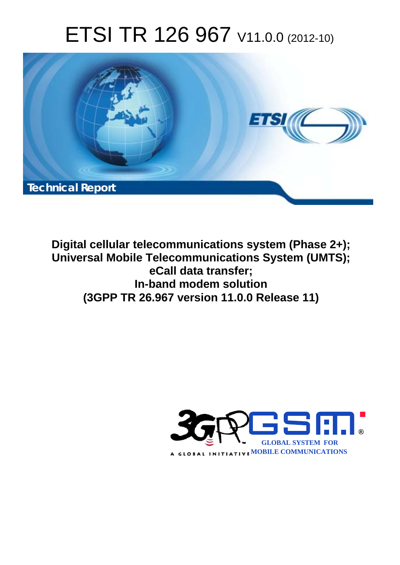# ETSI TR 126 967 V11.0.0 (2012-10)



**Digital cellular telecommunications system (Phase 2+); Universal Mobile Telecommunications System (UMTS); eCall data transfer; In-band modem solution (3GPP TR 26.967 version 11.0.0 Release 11)** 

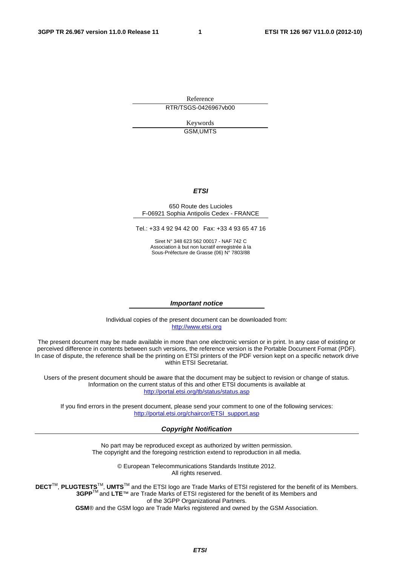Reference RTR/TSGS-0426967vb00

> Keywords GSM,UMTS

#### *ETSI*

#### 650 Route des Lucioles F-06921 Sophia Antipolis Cedex - FRANCE

Tel.: +33 4 92 94 42 00 Fax: +33 4 93 65 47 16

Siret N° 348 623 562 00017 - NAF 742 C Association à but non lucratif enregistrée à la Sous-Préfecture de Grasse (06) N° 7803/88

#### *Important notice*

Individual copies of the present document can be downloaded from: [http://www.etsi.org](http://www.etsi.org/)

The present document may be made available in more than one electronic version or in print. In any case of existing or perceived difference in contents between such versions, the reference version is the Portable Document Format (PDF). In case of dispute, the reference shall be the printing on ETSI printers of the PDF version kept on a specific network drive within ETSI Secretariat.

Users of the present document should be aware that the document may be subject to revision or change of status. Information on the current status of this and other ETSI documents is available at <http://portal.etsi.org/tb/status/status.asp>

If you find errors in the present document, please send your comment to one of the following services: [http://portal.etsi.org/chaircor/ETSI\\_support.asp](http://portal.etsi.org/chaircor/ETSI_support.asp)

#### *Copyright Notification*

No part may be reproduced except as authorized by written permission. The copyright and the foregoing restriction extend to reproduction in all media.

> © European Telecommunications Standards Institute 2012. All rights reserved.

DECT<sup>™</sup>, PLUGTESTS<sup>™</sup>, UMTS<sup>™</sup> and the ETSI logo are Trade Marks of ETSI registered for the benefit of its Members. **3GPP**TM and **LTE**™ are Trade Marks of ETSI registered for the benefit of its Members and of the 3GPP Organizational Partners.

**GSM**® and the GSM logo are Trade Marks registered and owned by the GSM Association.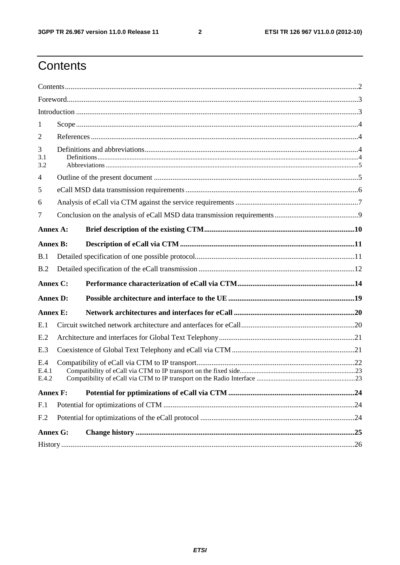$\overline{2}$ 

### Contents

| 1                     |  |  |  |  |  |  |  |
|-----------------------|--|--|--|--|--|--|--|
| 2                     |  |  |  |  |  |  |  |
| 3<br>3.1<br>3.2       |  |  |  |  |  |  |  |
| $\overline{4}$        |  |  |  |  |  |  |  |
| 5                     |  |  |  |  |  |  |  |
| 6                     |  |  |  |  |  |  |  |
| 7                     |  |  |  |  |  |  |  |
| Annex A:              |  |  |  |  |  |  |  |
| <b>Annex B:</b>       |  |  |  |  |  |  |  |
| B.1                   |  |  |  |  |  |  |  |
| B.2                   |  |  |  |  |  |  |  |
| Annex C:              |  |  |  |  |  |  |  |
| <b>Annex D:</b>       |  |  |  |  |  |  |  |
| <b>Annex E:</b>       |  |  |  |  |  |  |  |
| E.1                   |  |  |  |  |  |  |  |
| E.2                   |  |  |  |  |  |  |  |
| E.3                   |  |  |  |  |  |  |  |
| E.4<br>E.4.1<br>E.4.2 |  |  |  |  |  |  |  |
| <b>Annex F:</b>       |  |  |  |  |  |  |  |
| F.1                   |  |  |  |  |  |  |  |
| F <sub>.2</sub>       |  |  |  |  |  |  |  |
| <b>Annex G:</b>       |  |  |  |  |  |  |  |
|                       |  |  |  |  |  |  |  |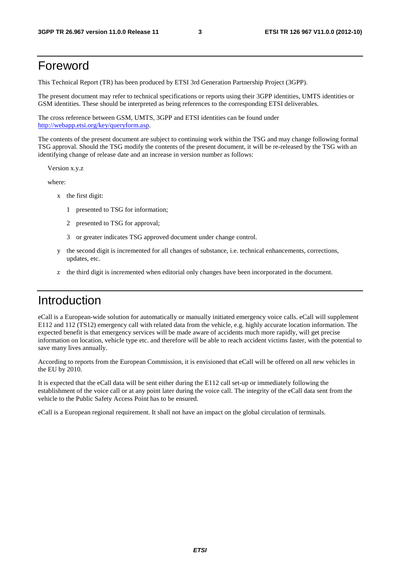### Foreword

This Technical Report (TR) has been produced by ETSI 3rd Generation Partnership Project (3GPP).

The present document may refer to technical specifications or reports using their 3GPP identities, UMTS identities or GSM identities. These should be interpreted as being references to the corresponding ETSI deliverables.

The cross reference between GSM, UMTS, 3GPP and ETSI identities can be found under [http://webapp.etsi.org/key/queryform.asp.](http://webapp.etsi.org/key/queryform.asp)

The contents of the present document are subject to continuing work within the TSG and may change following formal TSG approval. Should the TSG modify the contents of the present document, it will be re-released by the TSG with an identifying change of release date and an increase in version number as follows:

Version x.y.z

where:

- x the first digit:
	- 1 presented to TSG for information;
	- 2 presented to TSG for approval;
	- 3 or greater indicates TSG approved document under change control.
- y the second digit is incremented for all changes of substance, i.e. technical enhancements, corrections, updates, etc.
- the third digit is incremented when editorial only changes have been incorporated in the document.

### Introduction

eCall is a European-wide solution for automatically or manually initiated emergency voice calls. eCall will supplement E112 and 112 (TS12) emergency call with related data from the vehicle, e.g. highly accurate location information. The expected benefit is that emergency services will be made aware of accidents much more rapidly, will get precise information on location, vehicle type etc. and therefore will be able to reach accident victims faster, with the potential to save many lives annually.

According to reports from the European Commission, it is envisioned that eCall will be offered on all new vehicles in the EU by 2010.

It is expected that the eCall data will be sent either during the E112 call set-up or immediately following the establishment of the voice call or at any point later during the voice call. The integrity of the eCall data sent from the vehicle to the Public Safety Access Point has to be ensured.

eCall is a European regional requirement. It shall not have an impact on the global circulation of terminals.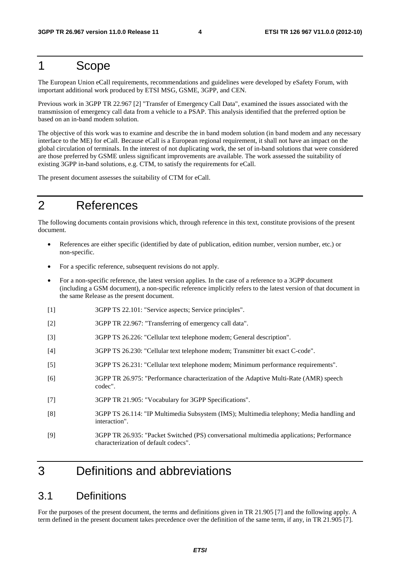### 1 Scope

The European Union eCall requirements, recommendations and guidelines were developed by eSafety Forum, with important additional work produced by ETSI MSG, GSME, 3GPP, and CEN.

Previous work in 3GPP TR 22.967 [2] "Transfer of Emergency Call Data", examined the issues associated with the transmission of emergency call data from a vehicle to a PSAP. This analysis identified that the preferred option be based on an in-band modem solution.

The objective of this work was to examine and describe the in band modem solution (in band modem and any necessary interface to the ME) for eCall. Because eCall is a European regional requirement, it shall not have an impact on the global circulation of terminals. In the interest of not duplicating work, the set of in-band solutions that were considered are those preferred by GSME unless significant improvements are available. The work assessed the suitability of existing 3GPP in-band solutions, e.g. CTM, to satisfy the requirements for eCall.

The present document assesses the suitability of CTM for eCall.

### 2 References

The following documents contain provisions which, through reference in this text, constitute provisions of the present document.

- References are either specific (identified by date of publication, edition number, version number, etc.) or non-specific.
- For a specific reference, subsequent revisions do not apply.
- For a non-specific reference, the latest version applies. In the case of a reference to a 3GPP document (including a GSM document), a non-specific reference implicitly refers to the latest version of that document in the same Release as the present document.
- [1] 3GPP TS 22.101: "Service aspects; Service principles".
- [2] 3GPP TR 22.967: "Transferring of emergency call data".
- [3] 3GPP TS 26.226: "Cellular text telephone modem; General description".
- [4] 3GPP TS 26.230: "Cellular text telephone modem; Transmitter bit exact C-code".
- [5] 3GPP TS 26.231: "Cellular text telephone modem; Minimum performance requirements".
- [6] 3GPP TR 26.975: "Performance characterization of the Adaptive Multi-Rate (AMR) speech codec".
- [7] 3GPP TR 21.905: "Vocabulary for 3GPP Specifications".
- [8] 3GPP TS 26.114: "IP Multimedia Subsystem (IMS); Multimedia telephony; Media handling and interaction".
- [9] 3GPP TR 26.935: "Packet Switched (PS) conversational multimedia applications; Performance characterization of default codecs".

### 3 Definitions and abbreviations

### 3.1 Definitions

For the purposes of the present document, the terms and definitions given in TR 21.905 [7] and the following apply. A term defined in the present document takes precedence over the definition of the same term, if any, in TR 21.905 [7].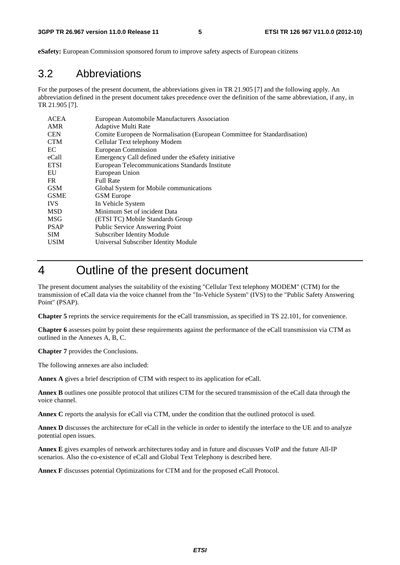**eSafety:** European Commission sponsored forum to improve safety aspects of European citizens

### 3.2 Abbreviations

For the purposes of the present document, the abbreviations given in TR 21.905 [7] and the following apply. An abbreviation defined in the present document takes precedence over the definition of the same abbreviation, if any, in TR 21.905 [7].

| AMR<br>Adaptive Multi Rate<br><b>CEN</b><br>Comite Europeen de Normalisation (European Committee for Standardisation)<br><b>CTM</b><br>Cellular Text telephony Modem<br>European Commission<br>EC.<br>eCall<br>Emergency Call defined under the eSafety initiative<br><b>ETSI</b><br>European Telecommunications Standards Institute<br>European Union<br>EU<br>FR.<br><b>Full Rate</b><br><b>GSM</b><br>Global System for Mobile communications<br><b>GSME</b><br><b>GSM</b> Europe<br><b>IVS</b><br>In Vehicle System<br>Minimum Set of incident Data<br><b>MSD</b><br><b>MSG</b><br>(ETSI TC) Mobile Standards Group<br><b>PSAP</b><br><b>Public Service Answering Point</b><br><b>SIM</b><br>Subscriber Identity Module | <b>ACEA</b> | European Automobile Manufacturers Association |
|-----------------------------------------------------------------------------------------------------------------------------------------------------------------------------------------------------------------------------------------------------------------------------------------------------------------------------------------------------------------------------------------------------------------------------------------------------------------------------------------------------------------------------------------------------------------------------------------------------------------------------------------------------------------------------------------------------------------------------|-------------|-----------------------------------------------|
|                                                                                                                                                                                                                                                                                                                                                                                                                                                                                                                                                                                                                                                                                                                             |             |                                               |
|                                                                                                                                                                                                                                                                                                                                                                                                                                                                                                                                                                                                                                                                                                                             |             |                                               |
|                                                                                                                                                                                                                                                                                                                                                                                                                                                                                                                                                                                                                                                                                                                             |             |                                               |
|                                                                                                                                                                                                                                                                                                                                                                                                                                                                                                                                                                                                                                                                                                                             |             |                                               |
|                                                                                                                                                                                                                                                                                                                                                                                                                                                                                                                                                                                                                                                                                                                             |             |                                               |
|                                                                                                                                                                                                                                                                                                                                                                                                                                                                                                                                                                                                                                                                                                                             |             |                                               |
|                                                                                                                                                                                                                                                                                                                                                                                                                                                                                                                                                                                                                                                                                                                             |             |                                               |
|                                                                                                                                                                                                                                                                                                                                                                                                                                                                                                                                                                                                                                                                                                                             |             |                                               |
|                                                                                                                                                                                                                                                                                                                                                                                                                                                                                                                                                                                                                                                                                                                             |             |                                               |
|                                                                                                                                                                                                                                                                                                                                                                                                                                                                                                                                                                                                                                                                                                                             |             |                                               |
|                                                                                                                                                                                                                                                                                                                                                                                                                                                                                                                                                                                                                                                                                                                             |             |                                               |
|                                                                                                                                                                                                                                                                                                                                                                                                                                                                                                                                                                                                                                                                                                                             |             |                                               |
|                                                                                                                                                                                                                                                                                                                                                                                                                                                                                                                                                                                                                                                                                                                             |             |                                               |
|                                                                                                                                                                                                                                                                                                                                                                                                                                                                                                                                                                                                                                                                                                                             |             |                                               |
|                                                                                                                                                                                                                                                                                                                                                                                                                                                                                                                                                                                                                                                                                                                             |             |                                               |
|                                                                                                                                                                                                                                                                                                                                                                                                                                                                                                                                                                                                                                                                                                                             | <b>USIM</b> | Universal Subscriber Identity Module          |

### 4 Outline of the present document

The present document analyses the suitability of the existing "Cellular Text telephony MODEM" (CTM) for the transmission of eCall data via the voice channel from the "In-Vehicle System" (IVS) to the "Public Safety Answering Point" (PSAP).

**Chapter 5** reprints the service requirements for the eCall transmission, as specified in TS 22.101, for convenience.

**Chapter 6** assesses point by point these requirements against the performance of the eCall transmission via CTM as outlined in the Annexes A, B, C.

**Chapter 7** provides the Conclusions.

The following annexes are also included:

**Annex A** gives a brief description of CTM with respect to its application for eCall.

**Annex B** outlines one possible protocol that utilizes CTM for the secured transmission of the eCall data through the voice channel.

**Annex C** reports the analysis for eCall via CTM, under the condition that the outlined protocol is used.

**Annex D** discusses the architecture for eCall in the vehicle in order to identify the interface to the UE and to analyze potential open issues.

**Annex E** gives examples of network architectures today and in future and discusses VoIP and the future All-IP scenarios. Also the co-existence of eCall and Global Text Telephony is described here.

**Annex F** discusses potential Optimizations for CTM and for the proposed eCall Protocol.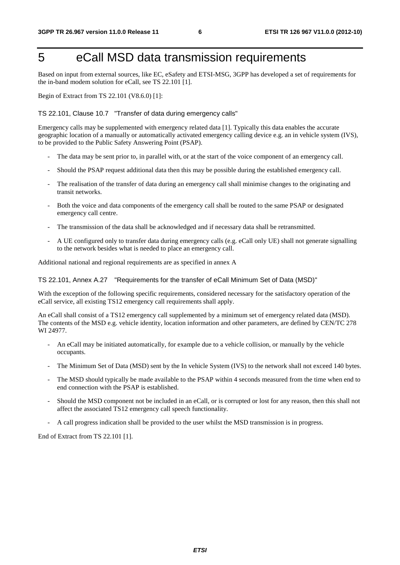### 5 eCall MSD data transmission requirements

Based on input from external sources, like EC, eSafety and ETSI-MSG, 3GPP has developed a set of requirements for the in-band modem solution for eCall, see TS 22.101 [1].

Begin of Extract from TS 22.101 (V8.6.0) [1]:

#### TS 22.101, Clause 10.7 "Transfer of data during emergency calls"

Emergency calls may be supplemented with emergency related data [1]. Typically this data enables the accurate geographic location of a manually or automatically activated emergency calling device e.g. an in vehicle system (IVS), to be provided to the Public Safety Answering Point (PSAP).

- The data may be sent prior to, in parallel with, or at the start of the voice component of an emergency call.
- Should the PSAP request additional data then this may be possible during the established emergency call.
- The realisation of the transfer of data during an emergency call shall minimise changes to the originating and transit networks.
- Both the voice and data components of the emergency call shall be routed to the same PSAP or designated emergency call centre.
- The transmission of the data shall be acknowledged and if necessary data shall be retransmitted.
- A UE configured only to transfer data during emergency calls (e.g. eCall only UE) shall not generate signalling to the network besides what is needed to place an emergency call.

Additional national and regional requirements are as specified in annex A

#### TS 22.101, Annex A.27 "Requirements for the transfer of eCall Minimum Set of Data (MSD)"

With the exception of the following specific requirements, considered necessary for the satisfactory operation of the eCall service, all existing TS12 emergency call requirements shall apply.

An eCall shall consist of a TS12 emergency call supplemented by a minimum set of emergency related data (MSD). The contents of the MSD e.g. vehicle identity, location information and other parameters, are defined by CEN/TC 278 WI 24977.

- An eCall may be initiated automatically, for example due to a vehicle collision, or manually by the vehicle occupants.
- The Minimum Set of Data (MSD) sent by the In vehicle System (IVS) to the network shall not exceed 140 bytes.
- The MSD should typically be made available to the PSAP within 4 seconds measured from the time when end to end connection with the PSAP is established.
- Should the MSD component not be included in an eCall, or is corrupted or lost for any reason, then this shall not affect the associated TS12 emergency call speech functionality.
- A call progress indication shall be provided to the user whilst the MSD transmission is in progress.

End of Extract from TS 22.101 [1].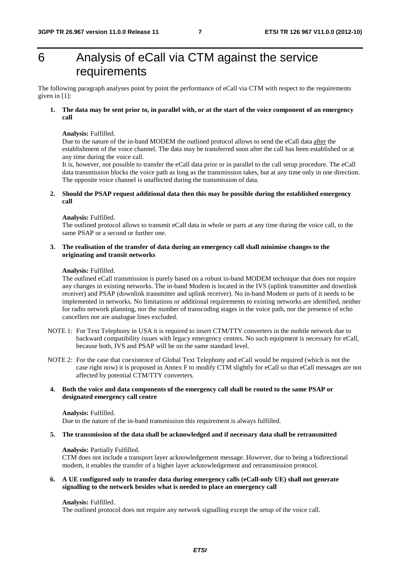### 6 Analysis of eCall via CTM against the service requirements

The following paragraph analyses point by point the performance of eCall via CTM with respect to the requirements given in [1]:

#### **1. The data may be sent prior to, in parallel with, or at the start of the voice component of an emergency call**

#### **Analysis:** Fulfilled.

Due to the nature of the in-band MODEM the outlined protocol allows to send the eCall data after the establishment of the voice channel. The data may be transferred soon after the call has been established or at any time during the voice call.

It is, however, not possible to transfer the eCall data prior or in parallel to the call setup procedure. The eCall data transmission blocks the voice path as long as the transmission takes, but at any time only in one direction. The opposite voice channel is unaffected during the transmission of data.

#### **2. Should the PSAP request additional data then this may be possible during the established emergency call**

#### **Analysis:** Fulfilled.

The outlined protocol allows to transmit eCall data in whole or parts at any time during the voice call, to the same PSAP or a second or further one.

#### **3. The realisation of the transfer of data during an emergency call shall minimise changes to the originating and transit networks**

#### **Analysis:** Fulfilled.

The outlined eCall transmission is purely based on a robust in-band MODEM technique that does not require any changes in existing networks. The in-band Modem is located in the IVS (uplink transmitter and downlink receiver) and PSAP (downlink transmitter and uplink receiver). No in-band Modem or parts of it needs to be implemented in networks. No limitations or additional requirements to existing networks are identified, neither for radio network planning, nor the number of transcoding stages in the voice path, nor the presence of echo cancellers nor are analogue lines excluded.

- NOTE 1: For Text Telephony in USA it is required to insert CTM/TTY converters in the mobile network due to backward compatibility issues with legacy emergency centres. No such equipment is necessary for eCall, because both, IVS and PSAP will be on the same standard level.
- NOTE 2: For the case that coexistence of Global Text Telephony and eCall would be required (which is not the case right now) it is proposed in Annex F to modify CTM slightly for eCall so that eCall messages are not affected by potential CTM/TTY converters.

#### **4. Both the voice and data components of the emergency call shall be routed to the same PSAP or designated emergency call centre**

#### **Analysis:** Fulfilled.

Due to the nature of the in-band transmission this requirement is always fulfilled.

#### **5. The transmission of the data shall be acknowledged and if necessary data shall be retransmitted**

#### **Analysis:** Partially Fulfilled.

CTM does not include a transport layer acknowledgement message. However, due to being a bidirectional modem, it enables the transfer of a higher layer acknowledgement and retransmission protocol.

#### **6. A UE configured only to transfer data during emergency calls (eCall-only UE) shall not generate signalling to the network besides what is needed to place an emergency call**

#### **Analysis:** Fulfilled.

The outlined protocol does not require any network signalling except the setup of the voice call.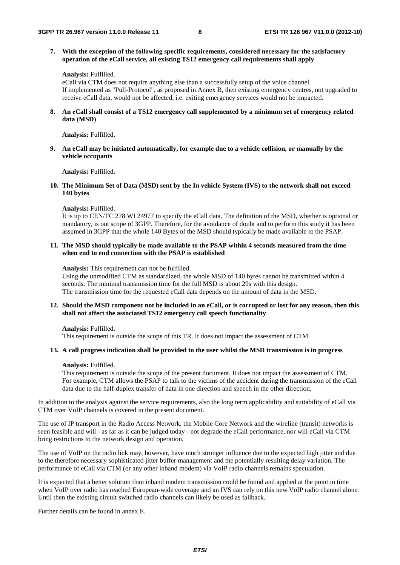**7. With the exception of the following specific requirements, considered necessary for the satisfactory operation of the eCall service, all existing TS12 emergency call requirements shall apply** 

#### **Analysis:** Fulfilled.

eCall via CTM does not require anything else than a successfully setup of the voice channel. If implemented as "Pull-Protocol", as proposed in Annex B, then existing emergency centres, not upgraded to receive eCall data, would not be affected, i.e. exiting emergency services would not be impacted.

**8. An eCall shall consist of a TS12 emergency call supplemented by a minimum set of emergency related data (MSD)** 

**Analysis:** Fulfilled.

**9. An eCall may be initiated automatically, for example due to a vehicle collision, or manually by the vehicle occupants** 

**Analysis:** Fulfilled.

**10. The Minimum Set of Data (MSD) sent by the In vehicle System (IVS) to the network shall not exceed 140 bytes** 

**Analysis:** Fulfilled.

It is up to CEN/TC 278 WI 24977 to specify the eCall data. The definition of the MSD, whether is optional or mandatory, is out scope of 3GPP. Therefore, for the avoidance of doubt and to perform this study it has been assumed in 3GPP that the whole 140 Bytes of the MSD should typically be made available to the PSAP.

**11. The MSD should typically be made available to the PSAP within 4 seconds measured from the time when end to end connection with the PSAP is established** 

**Analysis:** This requirement can not be fulfilled.

Using the unmodified CTM as standardized, the whole MSD of 140 bytes cannot be transmitted within 4 seconds. The minimal transmission time for the full MSD is about 29s with this design. The transmission time for the requested eCall data depends on the amount of data in the MSD.

#### **12. Should the MSD component not be included in an eCall, or is corrupted or lost for any reason, then this shall not affect the associated TS12 emergency call speech functionality**

**Analysis:** Fulfilled.

This requirement is outside the scope of this TR. It does not impact the assessment of CTM.

#### **13. A call progress indication shall be provided to the user whilst the MSD transmission is in progress**

#### **Analysis:** Fulfilled.

This requirement is outside the scope of the present document. It does not impact the assessment of CTM. For example, CTM allows the PSAP to talk to the victims of the accident during the transmission of the eCall data due to the half-duplex transfer of data in one direction and speech in the other direction.

In addition to the analysis against the service requirements, also the long term applicability and suitability of eCall via CTM over VoIP channels is covered in the present document.

The use of IP transport in the Radio Access Network, the Mobile Core Network and the wireline (transit) networks is seen feasible and will - as far as it can be judged today - not degrade the eCall performance, nor will eCall via CTM bring restrictions to the network design and operation.

The use of VoIP on the radio link may, however, have much stronger influence due to the expected high jitter and due to the therefore necessary sophisticated jitter buffer management and the potentially resulting delay variation. The performance of eCall via CTM (or any other inband modem) via VoIP radio channels remains speculation.

It is expected that a better solution than inband modem transmission could be found and applied at the point in time when VoIP over radio has reached European-wide coverage and an IVS can rely on this new VoIP radio channel alone. Until then the existing circuit switched radio channels can likely be used as fallback.

Further details can be found in annex E.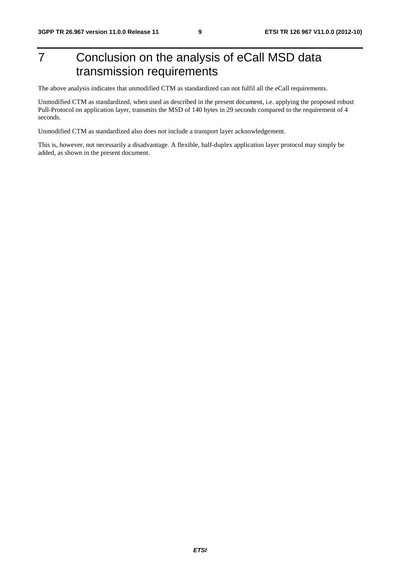### 7 Conclusion on the analysis of eCall MSD data transmission requirements

The above analysis indicates that unmodified CTM as standardized can not fulfil all the eCall requirements.

Unmodified CTM as standardized, when used as described in the present document, i.e. applying the proposed robust Pull-Protocol on application layer, transmits the MSD of 140 bytes in 29 seconds compared to the requirement of 4 seconds.

Unmodified CTM as standardized also does not include a transport layer acknowledgement.

This is, however, not necessarily a disadvantage. A flexible, half-duplex application layer protocol may simply be added, as shown in the present document.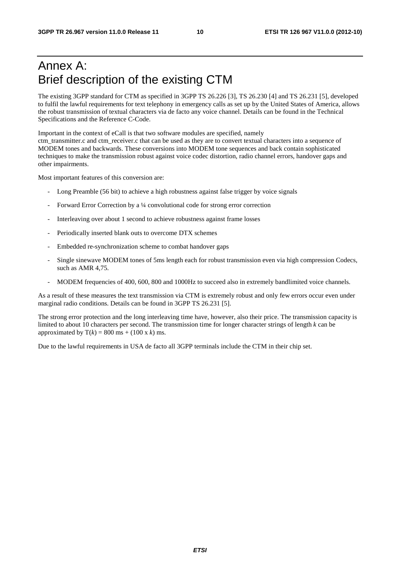### Annex A: Brief description of the existing CTM

The existing 3GPP standard for CTM as specified in 3GPP TS 26.226 [3], TS 26.230 [4] and TS 26.231 [5], developed to fulfil the lawful requirements for text telephony in emergency calls as set up by the United States of America, allows the robust transmission of textual characters via de facto any voice channel. Details can be found in the Technical Specifications and the Reference C-Code.

Important in the context of eCall is that two software modules are specified, namely ctm\_transmitter.c and ctm\_receiver.c that can be used as they are to convert textual characters into a sequence of MODEM tones and backwards. These conversions into MODEM tone sequences and back contain sophisticated techniques to make the transmission robust against voice codec distortion, radio channel errors, handover gaps and other impairments.

Most important features of this conversion are:

- Long Preamble (56 bit) to achieve a high robustness against false trigger by voice signals
- Forward Error Correction by a ¼ convolutional code for strong error correction
- Interleaving over about 1 second to achieve robustness against frame losses
- Periodically inserted blank outs to overcome DTX schemes
- Embedded re-synchronization scheme to combat handover gaps
- Single sinewave MODEM tones of 5ms length each for robust transmission even via high compression Codecs, such as AMR 4,75.
- MODEM frequencies of 400, 600, 800 and 1000Hz to succeed also in extremely bandlimited voice channels.

As a result of these measures the text transmission via CTM is extremely robust and only few errors occur even under marginal radio conditions. Details can be found in 3GPP TS 26.231 [5].

The strong error protection and the long interleaving time have, however, also their price. The transmission capacity is limited to about 10 characters per second. The transmission time for longer character strings of length *k* can be approximated by  $T(k) = 800$  ms + (100 x k) ms.

Due to the lawful requirements in USA de facto all 3GPP terminals include the CTM in their chip set.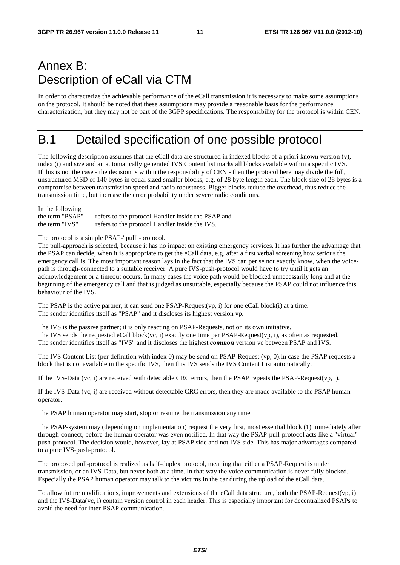### Annex B: Description of eCall via CTM

In order to characterize the achievable performance of the eCall transmission it is necessary to make some assumptions on the protocol. It should be noted that these assumptions may provide a reasonable basis for the performance characterization, but they may not be part of the 3GPP specifications. The responsibility for the protocol is within CEN.

### B.1 Detailed specification of one possible protocol

The following description assumes that the eCall data are structured in indexed blocks of a priori known version (v), index (i) and size and an automatically generated IVS Content list marks all blocks available within a specific IVS. If this is not the case - the decision is within the responsibility of CEN - then the protocol here may divide the full, unstructured MSD of 140 bytes in equal sized smaller blocks, e.g. of 28 byte length each. The block size of 28 bytes is a compromise between transmission speed and radio robustness. Bigger blocks reduce the overhead, thus reduce the transmission time, but increase the error probability under severe radio conditions.

| In the following |                                                    |
|------------------|----------------------------------------------------|
| the term "PSAP"  | refers to the protocol Handler inside the PSAP and |
| the term "IVS"   | refers to the protocol Handler inside the IVS.     |

The protocol is a simple PSAP-"pull"-protocol.

The pull-approach is selected, because it has no impact on existing emergency services. It has further the advantage that the PSAP can decide, when it is appropriate to get the eCall data, e.g. after a first verbal screening how serious the emergency call is. The most important reason lays in the fact that the IVS can per se not exactly know, when the voicepath is through-connected to a suitable receiver. A pure IVS-push-protocol would have to try until it gets an acknowledgement or a timeout occurs. In many cases the voice path would be blocked unnecessarily long and at the beginning of the emergency call and that is judged as unsuitable, especially because the PSAP could not influence this behaviour of the IVS.

The PSAP is the active partner, it can send one PSAP-Request(vp, i) for one eCall block(i) at a time. The sender identifies itself as "PSAP" and it discloses its highest version vp.

The IVS is the passive partner; it is only reacting on PSAP-Requests, not on its own initiative. The IVS sends the requested eCall block(vc, i) exactly one time per PSAP-Request(vp, i), as often as requested. The sender identifies itself as "IVS" and it discloses the highest *common* version vc between PSAP and IVS.

The IVS Content List (per definition with index 0) may be send on PSAP-Request (vp, 0).In case the PSAP requests a block that is not available in the specific IVS, then this IVS sends the IVS Content List automatically.

If the IVS-Data (vc, i) are received with detectable CRC errors, then the PSAP repeats the PSAP-Request(vp, i).

If the IVS-Data (vc, i) are received without detectable CRC errors, then they are made available to the PSAP human operator.

The PSAP human operator may start, stop or resume the transmission any time.

The PSAP-system may (depending on implementation) request the very first, most essential block (1) immediately after through-connect, before the human operator was even notified. In that way the PSAP-pull-protocol acts like a "virtual" push-protocol. The decision would, however, lay at PSAP side and not IVS side. This has major advantages compared to a pure IVS-push-protocol.

The proposed pull-protocol is realized as half-duplex protocol, meaning that either a PSAP-Request is under transmission, or an IVS-Data, but never both at a time. In that way the voice communication is never fully blocked. Especially the PSAP human operator may talk to the victims in the car during the upload of the eCall data.

To allow future modifications, improvements and extensions of the eCall data structure, both the PSAP-Request(vp, i) and the IVS-Data(vc, i) contain version control in each header. This is especially important for decentralized PSAPs to avoid the need for inter-PSAP communication.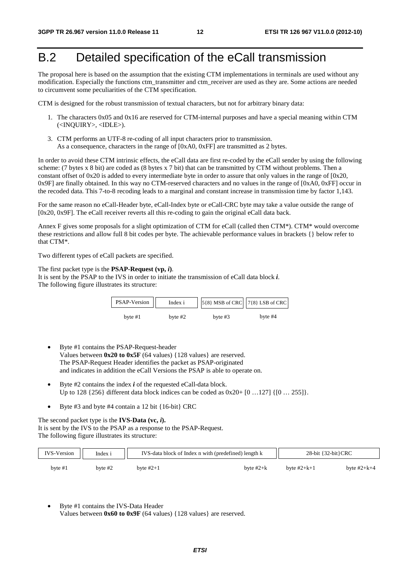### B.2 Detailed specification of the eCall transmission

The proposal here is based on the assumption that the existing CTM implementations in terminals are used without any modification. Especially the functions ctm\_transmitter and ctm\_receiver are used as they are. Some actions are needed to circumvent some peculiarities of the CTM specification.

CTM is designed for the robust transmission of textual characters, but not for arbitrary binary data:

- 1. The characters 0x05 and 0x16 are reserved for CTM-internal purposes and have a special meaning within CTM (<INQUIRY>, <IDLE>).
- 3. CTM performs an UTF-8 re-coding of all input characters prior to transmission. As a consequence, characters in the range of [0xA0, 0xFF] are transmitted as 2 bytes.

In order to avoid these CTM intrinsic effects, the eCall data are first re-coded by the eCall sender by using the following scheme: (7 bytes x 8 bit) are coded as (8 bytes x 7 bit) that can be transmitted by CTM without problems. Then a constant offset of  $0x20$  is added to every intermediate byte in order to assure that only values in the range of  $[0x20,$ 0x9F] are finally obtained. In this way no CTM-reserved characters and no values in the range of [0xA0, 0xFF] occur in the recoded data. This 7-to-8 recoding leads to a marginal and constant increase in transmission time by factor 1,143.

For the same reason no eCall-Header byte, eCall-Index byte or eCall-CRC byte may take a value outside the range of [0x20, 0x9F]. The eCall receiver reverts all this re-coding to gain the original eCall data back.

Annex F gives some proposals for a slight optimization of CTM for eCall (called then CTM\*). CTM\* would overcome these restrictions and allow full 8 bit codes per byte. The achievable performance values in brackets {} below refer to that CTM\*.

Two different types of eCall packets are specified.

The first packet type is the **PSAP-Request (vp,** *i***)**. It is sent by the PSAP to the IVS in order to initiate the transmission of eCall data block *i*. The following figure illustrates its structure:

| PSAP-Version | Index i   | $5{8}$ MSB of CRC $7{8}$ LSB of CRC |           |  |  |
|--------------|-----------|-------------------------------------|-----------|--|--|
| byte $#1$    | byte $#2$ | byte $#3$                           | byte $#4$ |  |  |

- Byte #1 contains the PSAP-Request-header Values between **0x20 to 0x5F** (64 values) {128 values} are reserved. The PSAP-Request Header identifies the packet as PSAP-originated and indicates in addition the eCall Versions the PSAP is able to operate on.
- Byte #2 contains the index *i* of the requested eCall-data block. Up to 128 {256} different data block indices can be coded as 0x20+ [0 …127] {[0 … 255]}.
- Byte #3 and byte #4 contain a 12 bit {16-bit} CRC

The second packet type is the **IVS-Data (vc,** *i***).**  It is sent by the IVS to the PSAP as a response to the PSAP-Request. The following figure illustrates its structure:

| <b>IVS-Version</b> | Index i |             | IVS-data block of Index n with (predefined) length k | $28$ -bit { $32$ -bit}CRC |               |  |
|--------------------|---------|-------------|------------------------------------------------------|---------------------------|---------------|--|
| byte $#1$          | bvte #2 | byte $#2+1$ | byte $#2+k$                                          | byte $#2+k+1$             | byte $#2+k+4$ |  |

• Byte #1 contains the IVS-Data Header Values between **0x60 to 0x9F** (64 values) {128 values} are reserved.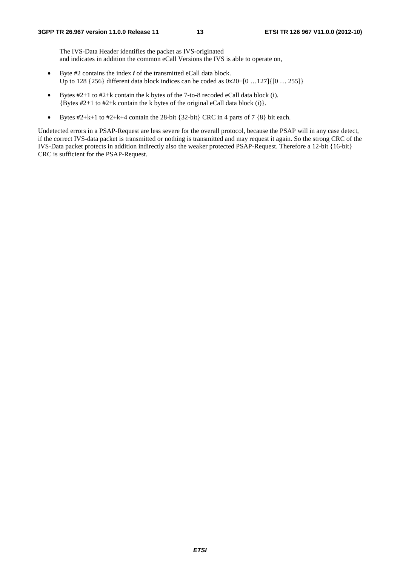The IVS-Data Header identifies the packet as IVS-originated and indicates in addition the common eCall Versions the IVS is able to operate on,

- Byte #2 contains the index *i* of the transmitted eCall data block. Up to 128 {256} different data block indices can be coded as 0x20+[0 …127]{[0 … 255]}
- Bytes #2+1 to #2+k contain the k bytes of the 7-to-8 recoded eCall data block (i). {Bytes #2+1 to #2+k contain the k bytes of the original eCall data block (i)}.
- Bytes  $#2+k+1$  to  $#2+k+4$  contain the 28-bit {32-bit} CRC in 4 parts of 7 {8} bit each.

Undetected errors in a PSAP-Request are less severe for the overall protocol, because the PSAP will in any case detect, if the correct IVS-data packet is transmitted or nothing is transmitted and may request it again. So the strong CRC of the IVS-Data packet protects in addition indirectly also the weaker protected PSAP-Request. Therefore a 12-bit {16-bit} CRC is sufficient for the PSAP-Request.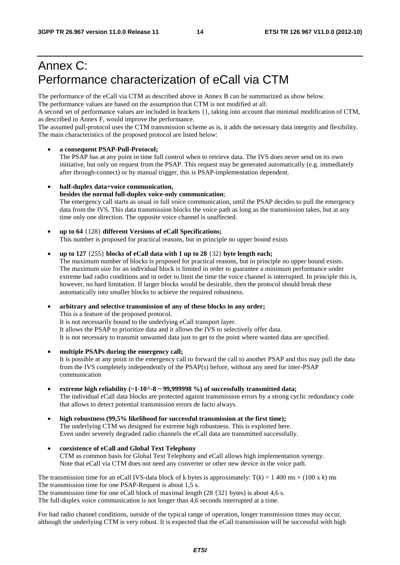### Annex C: Performance characterization of eCall via CTM

The performance of the eCall via CTM as described above in Annex B can be summarized as show below.

The performance values are based on the assumption that CTM is not modified at all.

A second set of performance values are included in brackets {}, taking into account that minimal modification of CTM, as described in Annex F, would improve the performance.

The assumed pull-protocol uses the CTM transmission scheme as is, it adds the necessary data integrity and flexibility. The main characteristics of the proposed protocol are listed below:

#### • **a consequent PSAP-Pull-Protocol;**

The PSAP has at any point in time full control when to retrieve data. The IVS does never send on its own initiative, but only on request from the PSAP. This request may be generated automatically (e.g. immediately after through-connect) or by manual trigger, this is PSAP-implementation dependent.

#### • **half-duplex data+voice communication,**

#### **besides the normal full-duplex voice-only communication**;

The emergency call starts as usual in full voice communication, until the PSAP decides to pull the emergency data from the IVS. This data transmission blocks the voice path as long as the transmission takes, but at any time only one direction. The opposite voice channel is unaffected.

• **up to 64** {128} **different Versions of eCall Specifications;** This number is proposed for practical reasons, but in principle no upper bound exists

#### • **up to 127** {255} **blocks of eCall data with 1 up to 28** {32} **byte length each;**

The maximum number of blocks is proposed for practical reasons, but in principle no upper bound exists. The maximum size for an individual block is limited in order to guarantee a minimum performance under extreme bad radio conditions and in order to limit the time the voice channel is interrupted. In principle this is, however, no hard limitation. If larger blocks would be desirable, then the protocol should break these automatically into smaller blocks to achieve the required robustness.

• **arbitrary and selective transmission of any of these blocks in any order;**  This is a feature of the proposed protocol. It is not necessarily bound to the underlying eCall transport layer. It allows the PSAP to prioritize data and it allows the IVS to selectively offer data. It is not necessary to transmit unwanted data just to get to the point where wanted data are specified.

- **multiple PSAPs during the emergency call;** It is possible at any point in the emergency call to forward the call to another PSAP and this may pull the data from the IVS completely independently of the PSAP(s) before, without any need for inter-PSAP communication
- extreme high reliability  $(-1.10^2 9.9999998 %)$  of successfully transmitted data; The individual eCall data blocks are protected against transmission errors by a strong cyclic redundancy code that allows to detect potential transmission errors de facto always.
- **high robustness (99,5% likelihood for successful transmission at the first time);**  The underlying CTM ws designed for extreme high robustness. This is exploited here. Even under severely degraded radio channels the eCall data are transmitted successfully.
- **coexistence of eCall and Global Text Telephony** CTM as common basis for Global Text Telephony and eCall allows high implementation synergy. Note that eCall via CTM does not need any converter or other new device in the voice path.

#### The transmission time for an eCall IVS-data block of k bytes is approximately:  $T(k) = 1,400 \text{ ms} + (100 \text{ x } k) \text{ ms}$ The transmission time for one PSAP-Request is about 1,5 s. The transmission time for one eCall block of maximal length  $(28 \{32\})$  bytes) is about 4,6 s. The full-duplex voice communication is not longer than 4,6 seconds interrupted at a time.

For bad radio channel conditions, outside of the typical range of operation, longer transmission times may occur, although the underlying CTM is very robust. It is expected that the eCall transmission will be successful with high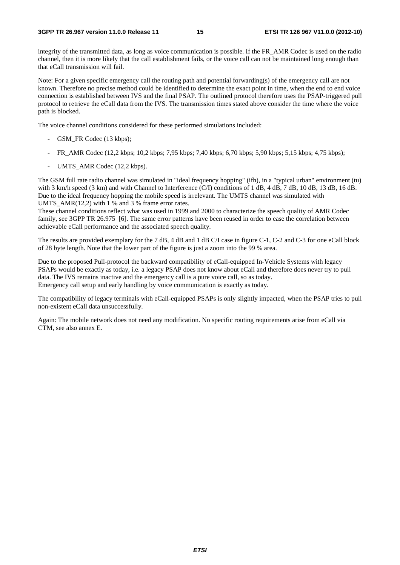integrity of the transmitted data, as long as voice communication is possible. If the FR\_AMR Codec is used on the radio channel, then it is more likely that the call establishment fails, or the voice call can not be maintained long enough than that eCall transmission will fail.

Note: For a given specific emergency call the routing path and potential forwarding(s) of the emergency call are not known. Therefore no precise method could be identified to determine the exact point in time, when the end to end voice connection is established between IVS and the final PSAP. The outlined protocol therefore uses the PSAP-triggered pull protocol to retrieve the eCall data from the IVS. The transmission times stated above consider the time where the voice path is blocked.

The voice channel conditions considered for these performed simulations included:

- GSM\_FR Codec (13 kbps);
- FR\_AMR Codec (12,2 kbps; 10,2 kbps; 7,95 kbps; 7,40 kbps; 6,70 kbps; 5,90 kbps; 5,15 kbps; 4,75 kbps);
- UMTS AMR Codec (12,2 kbps).

The GSM full rate radio channel was simulated in "ideal frequency hopping" (ifh), in a "typical urban" environment (tu) with 3 km/h speed (3 km) and with Channel to Interference (C/I) conditions of 1 dB, 4 dB, 7 dB, 10 dB, 13 dB, 16 dB. Due to the ideal frequency hopping the mobile speed is irrelevant. The UMTS channel was simulated with UMTS  $AMR(12.2)$  with 1 % and 3 % frame error rates.

These channel conditions reflect what was used in 1999 and 2000 to characterize the speech quality of AMR Codec family, see 3GPP TR 26.975 [6]. The same error patterns have been reused in order to ease the correlation between achievable eCall performance and the associated speech quality.

The results are provided exemplary for the 7 dB, 4 dB and 1 dB C/I case in figure C-1, C-2 and C-3 for one eCall block of 28 byte length. Note that the lower part of the figure is just a zoom into the 99 % area.

Due to the proposed Pull-protocol the backward compatibility of eCall-equipped In-Vehicle Systems with legacy PSAPs would be exactly as today, i.e. a legacy PSAP does not know about eCall and therefore does never try to pull data. The IVS remains inactive and the emergency call is a pure voice call, so as today. Emergency call setup and early handling by voice communication is exactly as today.

The compatibility of legacy terminals with eCall-equipped PSAPs is only slightly impacted, when the PSAP tries to pull non-existent eCall data unsuccessfully.

Again: The mobile network does not need any modification. No specific routing requirements arise from eCall via CTM, see also annex E.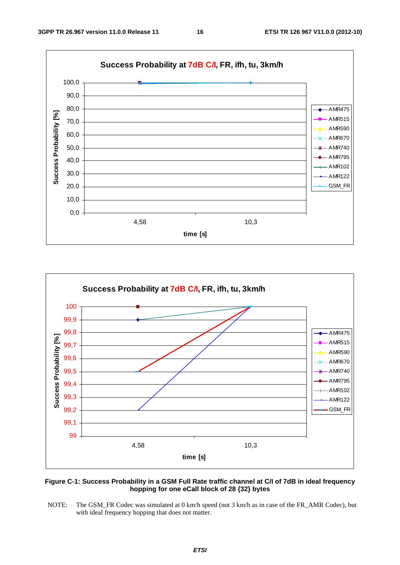



### **Figure C-1: Success Probability in a GSM Full Rate traffic channel at C/I of 7dB in ideal frequency hopping for one eCall block of 28 {32} bytes**

NOTE: The GSM\_FR Codec was simulated at 0 km/h speed (not 3 km/h as in case of the FR\_AMR Codec), but with ideal frequency hopping that does not matter.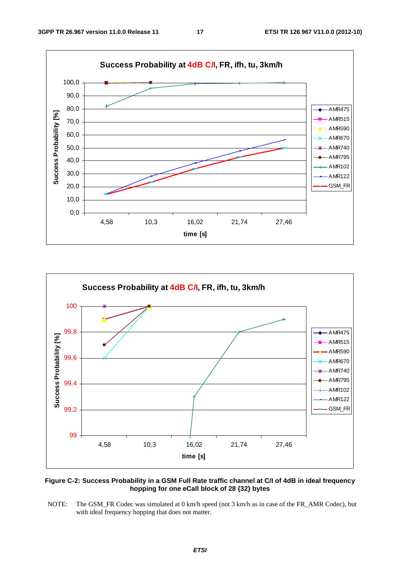



#### **Figure C-2: Success Probability in a GSM Full Rate traffic channel at C/I of 4dB in ideal frequency hopping for one eCall block of 28 {32} bytes**

NOTE: The GSM\_FR Codec was simulated at 0 km/h speed (not 3 km/h as in case of the FR\_AMR Codec), but with ideal frequency hopping that does not matter.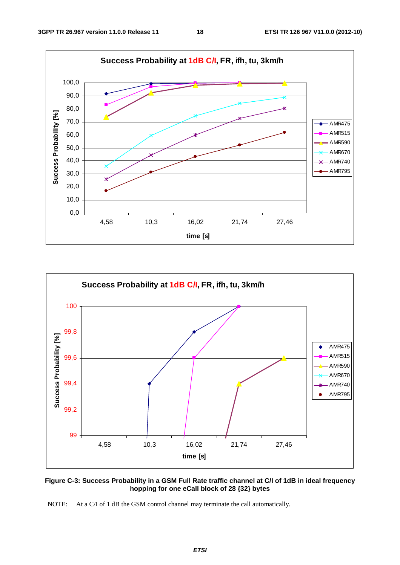



### **Figure C-3: Success Probability in a GSM Full Rate traffic channel at C/I of 1dB in ideal frequency hopping for one eCall block of 28 {32} bytes**

NOTE: At a C/I of 1 dB the GSM control channel may terminate the call automatically.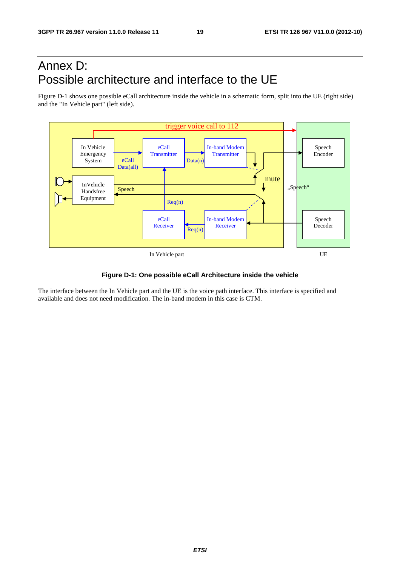### Annex D: Possible architecture and interface to the UE

Figure D-1 shows one possible eCall architecture inside the vehicle in a schematic form, split into the UE (right side) and the "In Vehicle part" (left side).



#### **Figure D-1: One possible eCall Architecture inside the vehicle**

The interface between the In Vehicle part and the UE is the voice path interface. This interface is specified and available and does not need modification. The in-band modem in this case is CTM.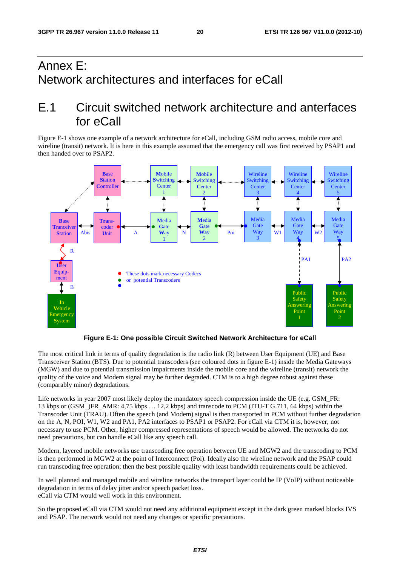### Annex E: Network architectures and interfaces for eCall

### E.1 Circuit switched network architecture and anterfaces for eCall

Figure E-1 shows one example of a network architecture for eCall, including GSM radio access, mobile core and wireline (transit) network. It is here in this example assumed that the emergency call was first received by PSAP1 and then handed over to PSAP2.



**Figure E-1: One possible Circuit Switched Network Architecture for eCall** 

The most critical link in terms of quality degradation is the radio link (R) between User Equipment (UE) and Base Transceiver Station (BTS). Due to potential transcoders (see coloured dots in figure E-1) inside the Media Gateways (MGW) and due to potential transmission impairments inside the mobile core and the wireline (transit) network the quality of the voice and Modem signal may be further degraded. CTM is to a high degree robust against these (comparably minor) degradations.

Life networks in year 2007 most likely deploy the mandatory speech compression inside the UE (e.g. GSM\_FR: 13 kbps or (GSM\_)FR\_AMR: 4,75 kbps … 12,2 kbps) and transcode to PCM (ITU-T G.711, 64 kbps) within the Transcoder Unit (TRAU). Often the speech (and Modem) signal is then transported in PCM without further degradation on the A, N, POI, W1, W2 and PA1, PA2 interfaces to PSAP1 or PSAP2. For eCall via CTM it is, however, not necessary to use PCM. Other, higher compressed representations of speech would be allowed. The networks do not need precautions, but can handle eCall like any speech call.

Modern, layered mobile networks use transcoding free operation between UE and MGW2 and the transcoding to PCM is then performed in MGW2 at the point of Interconnect (Poi). Ideally also the wireline network and the PSAP could run transcoding free operation; then the best possible quality with least bandwidth requirements could be achieved.

In well planned and managed mobile and wireline networks the transport layer could be IP (VoIP) without noticeable degradation in terms of delay jitter and/or speech packet loss. eCall via CTM would well work in this environment.

So the proposed eCall via CTM would not need any additional equipment except in the dark green marked blocks IVS and PSAP. The network would not need any changes or specific precautions.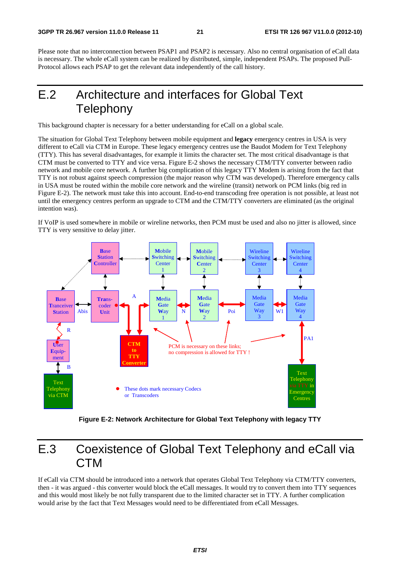Please note that no interconnection between PSAP1 and PSAP2 is necessary. Also no central organisation of eCall data is necessary. The whole eCall system can be realized by distributed, simple, independent PSAPs. The proposed Pull-Protocol allows each PSAP to get the relevant data independently of the call history.

### E.2 Architecture and interfaces for Global Text **Telephony**

This background chapter is necessary for a better understanding for eCall on a global scale.

The situation for Global Text Telephony between mobile equipment and **legacy** emergency centres in USA is very different to eCall via CTM in Europe. These legacy emergency centres use the Baudot Modem for Text Telephony (TTY). This has several disadvantages, for example it limits the character set. The most critical disadvantage is that CTM must be converted to TTY and vice versa. Figure E-2 shows the necessary CTM/TTY converter between radio network and mobile core network. A further big complication of this legacy TTY Modem is arising from the fact that TTY is not robust against speech compression (the major reason why CTM was developed). Therefore emergency calls in USA must be routed within the mobile core network and the wireline (transit) network on PCM links (big red in Figure E-2). The network must take this into account. End-to-end transcoding free operation is not possible, at least not until the emergency centres perform an upgrade to CTM and the CTM/TTY converters are eliminated (as the original intention was).

If VoIP is used somewhere in mobile or wireline networks, then PCM must be used and also no jitter is allowed, since TTY is very sensitive to delay jitter.



**Figure E-2: Network Architecture for Global Text Telephony with legacy TTY** 

### E.3 Coexistence of Global Text Telephony and eCall via **CTM**

If eCall via CTM should be introduced into a network that operates Global Text Telephony via CTM/TTY converters, then - it was argued - this converter would block the eCall messages. It would try to convert them into TTY sequences and this would most likely be not fully transparent due to the limited character set in TTY. A further complication would arise by the fact that Text Messages would need to be differentiated from eCall Messages.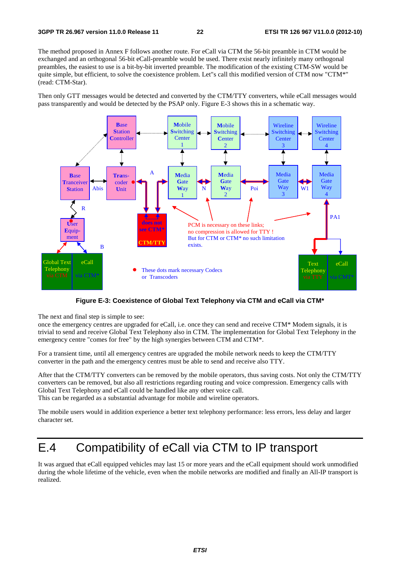The method proposed in Annex F follows another route. For eCall via CTM the 56-bit preamble in CTM would be exchanged and an orthogonal 56-bit eCall-preamble would be used. There exist nearly infinitely many orthogonal preambles, the easiest to use is a bit-by-bit inverted preamble. The modification of the existing CTM-SW would be quite simple, but efficient, to solve the coexistence problem. Let"s call this modified version of CTM now "CTM\*" (read: CTM-Star).

Then only GTT messages would be detected and converted by the CTM/TTY converters, while eCall messages would pass transparently and would be detected by the PSAP only. Figure E-3 shows this in a schematic way.



**Figure E-3: Coexistence of Global Text Telephony via CTM and eCall via CTM\*** 

The next and final step is simple to see:

once the emergency centres are upgraded for eCall, i.e. once they can send and receive CTM\* Modem signals, it is trivial to send and receive Global Text Telephony also in CTM. The implementation for Global Text Telephony in the emergency centre "comes for free" by the high synergies between CTM and CTM\*.

For a transient time, until all emergency centres are upgraded the mobile network needs to keep the CTM/TTY converter in the path and the emergency centres must be able to send and receive also TTY.

After that the CTM/TTY converters can be removed by the mobile operators, thus saving costs. Not only the CTM/TTY converters can be removed, but also all restrictions regarding routing and voice compression. Emergency calls with Global Text Telephony and eCall could be handled like any other voice call.

This can be regarded as a substantial advantage for mobile and wireline operators.

The mobile users would in addition experience a better text telephony performance: less errors, less delay and larger character set.

### E.4 Compatibility of eCall via CTM to IP transport

It was argued that eCall equipped vehicles may last 15 or more years and the eCall equipment should work unmodified during the whole lifetime of the vehicle, even when the mobile networks are modified and finally an All-IP transport is realized.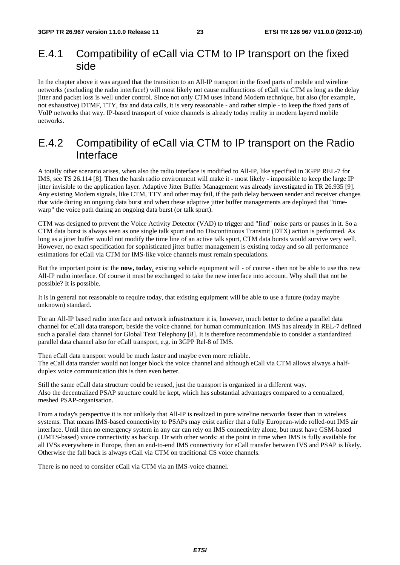### E.4.1 Compatibility of eCall via CTM to IP transport on the fixed side

In the chapter above it was argued that the transition to an All-IP transport in the fixed parts of mobile and wireline networks (excluding the radio interface!) will most likely not cause malfunctions of eCall via CTM as long as the delay jitter and packet loss is well under control. Since not only CTM uses inband Modem technique, but also (for example, not exhaustive) DTMF, TTY, fax and data calls, it is very reasonable - and rather simple - to keep the fixed parts of VoIP networks that way. IP-based transport of voice channels is already today reality in modern layered mobile networks.

### E.4.2 Compatibility of eCall via CTM to IP transport on the Radio Interface

A totally other scenario arises, when also the radio interface is modified to All-IP, like specified in 3GPP REL-7 for IMS, see TS 26.114 [8]. Then the harsh radio environment will make it - most likely - impossible to keep the large IP jitter invisible to the application layer. Adaptive Jitter Buffer Management was already investigated in TR 26.935 [9]. Any existing Modem signals, like CTM, TTY and other may fail, if the path delay between sender and receiver changes that wide during an ongoing data burst and when these adaptive jitter buffer managements are deployed that "timewarp" the voice path during an ongoing data burst (or talk spurt).

CTM was designed to prevent the Voice Activity Detector (VAD) to trigger and "find" noise parts or pauses in it. So a CTM data burst is always seen as one single talk spurt and no Discontinuous Transmit (DTX) action is performed. As long as a jitter buffer would not modify the time line of an active talk spurt, CTM data bursts would survive very well. However, no exact specification for sophisticated jitter buffer management is existing today and so all performance estimations for eCall via CTM for IMS-like voice channels must remain speculations.

But the important point is: the **now, today**, existing vehicle equipment will - of course - then not be able to use this new All-IP radio interface. Of course it must be exchanged to take the new interface into account. Why shall that not be possible? It is possible.

It is in general not reasonable to require today, that existing equipment will be able to use a future (today maybe unknown) standard.

For an All-IP based radio interface and network infrastructure it is, however, much better to define a parallel data channel for eCall data transport, beside the voice channel for human communication. IMS has already in REL-7 defined such a parallel data channel for Global Text Telephony [8]. It is therefore recommendable to consider a standardized parallel data channel also for eCall transport, e.g. in 3GPP Rel-8 of IMS.

Then eCall data transport would be much faster and maybe even more reliable. The eCall data transfer would not longer block the voice channel and although eCall via CTM allows always a halfduplex voice communication this is then even better.

Still the same eCall data structure could be reused, just the transport is organized in a different way. Also the decentralized PSAP structure could be kept, which has substantial advantages compared to a centralized, meshed PSAP-organisation.

From a today's perspective it is not unlikely that All-IP is realized in pure wireline networks faster than in wireless systems. That means IMS-based connectivity to PSAPs may exist earlier that a fully European-wide rolled-out IMS air interface. Until then no emergency system in any car can rely on IMS connectivity alone, but must have GSM-based (UMTS-based) voice connectivity as backup. Or with other words: at the point in time when IMS is fully available for all IVSs everywhere in Europe, then an end-to-end IMS connectivity for eCall transfer between IVS and PSAP is likely. Otherwise the fall back is always eCall via CTM on traditional CS voice channels.

There is no need to consider eCall via CTM via an IMS-voice channel.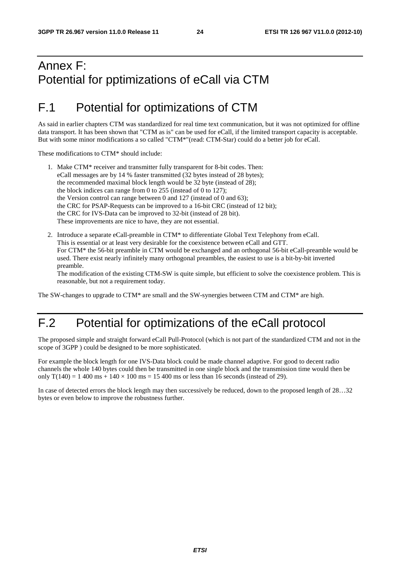### Annex F: Potential for pptimizations of eCall via CTM

### F.1 Potential for optimizations of CTM

As said in earlier chapters CTM was standardized for real time text communication, but it was not optimized for offline data transport. It has been shown that "CTM as is" can be used for eCall, if the limited transport capacity is acceptable. But with some minor modifications a so called "CTM\*"(read: CTM-Star) could do a better job for eCall.

These modifications to CTM\* should include:

- 1. Make CTM\* receiver and transmitter fully transparent for 8-bit codes. Then: eCall messages are by 14 % faster transmitted (32 bytes instead of 28 bytes); the recommended maximal block length would be 32 byte (instead of 28); the block indices can range from 0 to 255 (instead of 0 to 127); the Version control can range between 0 and 127 (instead of 0 and 63); the CRC for PSAP-Requests can be improved to a 16-bit CRC (instead of 12 bit); the CRC for IVS-Data can be improved to 32-bit (instead of 28 bit). These improvements are nice to have, they are not essential.
- 2. Introduce a separate eCall-preamble in CTM\* to differentiate Global Text Telephony from eCall. This is essential or at least very desirable for the coexistence between eCall and GTT. For CTM\* the 56-bit preamble in CTM would be exchanged and an orthogonal 56-bit eCall-preamble would be used. There exist nearly infinitely many orthogonal preambles, the easiest to use is a bit-by-bit inverted preamble. The modification of the existing CTM-SW is quite simple, but efficient to solve the coexistence problem. This is reasonable, but not a requirement today.

The SW-changes to upgrade to CTM\* are small and the SW-synergies between CTM and CTM\* are high.

### F.2 Potential for optimizations of the eCall protocol

The proposed simple and straight forward eCall Pull-Protocol (which is not part of the standardized CTM and not in the scope of 3GPP ) could be designed to be more sophisticated.

For example the block length for one IVS-Data block could be made channel adaptive. For good to decent radio channels the whole 140 bytes could then be transmitted in one single block and the transmission time would then be only  $T(140) = 1400 \text{ ms} + 140 \times 100 \text{ ms} = 15400 \text{ ms}$  or less than 16 seconds (instead of 29).

In case of detected errors the block length may then successively be reduced, down to the proposed length of 28…32 bytes or even below to improve the robustness further.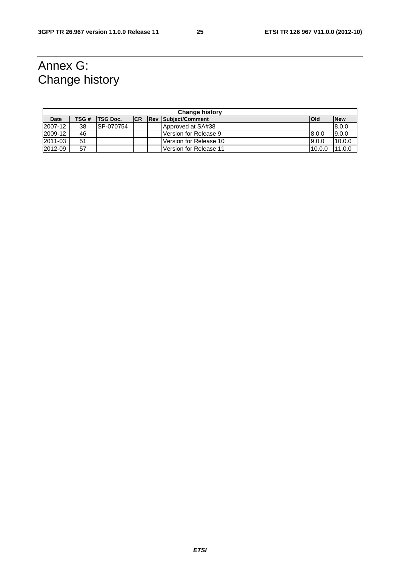### Annex G: Change history

| <b>Change history</b> |       |                  |            |  |                                 |             |            |
|-----------------------|-------|------------------|------------|--|---------------------------------|-------------|------------|
| Date                  | TSG # | <b>TSG Doc.</b>  | <b>ICR</b> |  | <b>Rev Subiect/Comment</b>      | <b>lOId</b> | <b>New</b> |
| 2007-12               | 38    | <b>SP-070754</b> |            |  | Approved at SA#38               |             | 8.0.0      |
| 2009-12               | 46    |                  |            |  | 8.0.0<br>lVersion for Release 9 |             | 9.0.0      |
| 2011-03               | 51    |                  |            |  | 9.0.0<br>Version for Release 10 |             | 10.0.0     |
| 2012-09               | 57    |                  |            |  | lVersion for Release 11         | 10.0.0      | 11.0.0     |